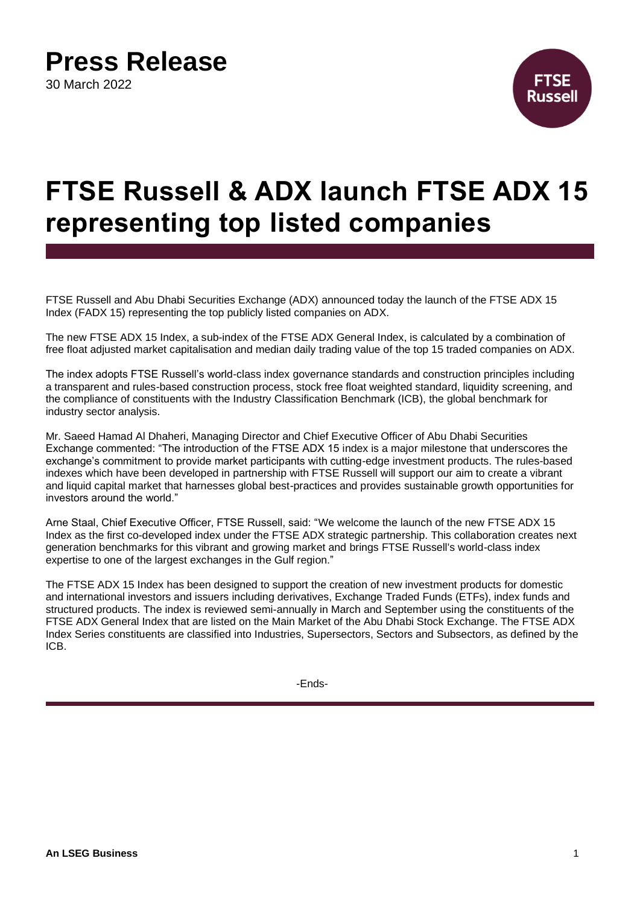# **Press Release**

30 March 2022



## **FTSE Russell & ADX launch FTSE ADX 15 representing top listed companies**

FTSE Russell and Abu Dhabi Securities Exchange (ADX) announced today the launch of the FTSE ADX 15 Index (FADX 15) representing the top publicly listed companies on ADX.

The new FTSE ADX 15 Index, a sub-index of the FTSE ADX General Index, is calculated by a combination of free float adjusted market capitalisation and median daily trading value of the top 15 traded companies on ADX.

The index adopts FTSE Russell's world-class index governance standards and construction principles including a transparent and rules-based construction process, stock free float weighted standard, liquidity screening, and the compliance of constituents with the Industry Classification Benchmark (ICB), the global benchmark for industry sector analysis.

Mr. Saeed Hamad Al Dhaheri, Managing Director and Chief Executive Officer of Abu Dhabi Securities Exchange commented: "The introduction of the FTSE ADX 15 index is a major milestone that underscores the exchange's commitment to provide market participants with cutting-edge investment products. The rules-based indexes which have been developed in partnership with FTSE Russell will support our aim to create a vibrant and liquid capital market that harnesses global best-practices and provides sustainable growth opportunities for investors around the world."

Arne Staal, Chief Executive Officer, FTSE Russell, said: "We welcome the launch of the new FTSE ADX 15 Index as the first co-developed index under the FTSE ADX strategic partnership. This collaboration creates next generation benchmarks for this vibrant and growing market and brings FTSE Russell's world-class index expertise to one of the largest exchanges in the Gulf region."

The FTSE ADX 15 Index has been designed to support the creation of new investment products for domestic and international investors and issuers including derivatives, Exchange Traded Funds (ETFs), index funds and structured products. The index is reviewed semi-annually in March and September using the constituents of the FTSE ADX General Index that are listed on the Main Market of the Abu Dhabi Stock Exchange. The FTSE ADX Index Series constituents are classified into Industries, Supersectors, Sectors and Subsectors, as defined by the ICB.

-Ends-